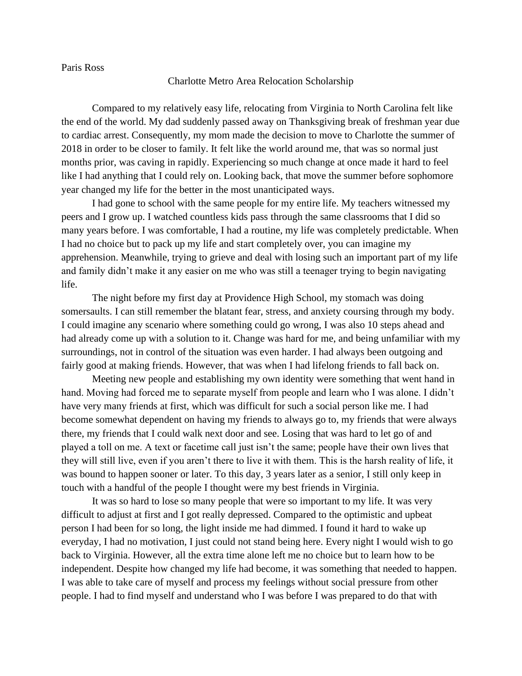Paris Ross

## Charlotte Metro Area Relocation Scholarship

Compared to my relatively easy life, relocating from Virginia to North Carolina felt like the end of the world. My dad suddenly passed away on Thanksgiving break of freshman year due to cardiac arrest. Consequently, my mom made the decision to move to Charlotte the summer of 2018 in order to be closer to family. It felt like the world around me, that was so normal just months prior, was caving in rapidly. Experiencing so much change at once made it hard to feel like I had anything that I could rely on. Looking back, that move the summer before sophomore year changed my life for the better in the most unanticipated ways.

I had gone to school with the same people for my entire life. My teachers witnessed my peers and I grow up. I watched countless kids pass through the same classrooms that I did so many years before. I was comfortable, I had a routine, my life was completely predictable. When I had no choice but to pack up my life and start completely over, you can imagine my apprehension. Meanwhile, trying to grieve and deal with losing such an important part of my life and family didn't make it any easier on me who was still a teenager trying to begin navigating life.

The night before my first day at Providence High School, my stomach was doing somersaults. I can still remember the blatant fear, stress, and anxiety coursing through my body. I could imagine any scenario where something could go wrong, I was also 10 steps ahead and had already come up with a solution to it. Change was hard for me, and being unfamiliar with my surroundings, not in control of the situation was even harder. I had always been outgoing and fairly good at making friends. However, that was when I had lifelong friends to fall back on.

Meeting new people and establishing my own identity were something that went hand in hand. Moving had forced me to separate myself from people and learn who I was alone. I didn't have very many friends at first, which was difficult for such a social person like me. I had become somewhat dependent on having my friends to always go to, my friends that were always there, my friends that I could walk next door and see. Losing that was hard to let go of and played a toll on me. A text or facetime call just isn't the same; people have their own lives that they will still live, even if you aren't there to live it with them. This is the harsh reality of life, it was bound to happen sooner or later. To this day, 3 years later as a senior, I still only keep in touch with a handful of the people I thought were my best friends in Virginia.

It was so hard to lose so many people that were so important to my life. It was very difficult to adjust at first and I got really depressed. Compared to the optimistic and upbeat person I had been for so long, the light inside me had dimmed. I found it hard to wake up everyday, I had no motivation, I just could not stand being here. Every night I would wish to go back to Virginia. However, all the extra time alone left me no choice but to learn how to be independent. Despite how changed my life had become, it was something that needed to happen. I was able to take care of myself and process my feelings without social pressure from other people. I had to find myself and understand who I was before I was prepared to do that with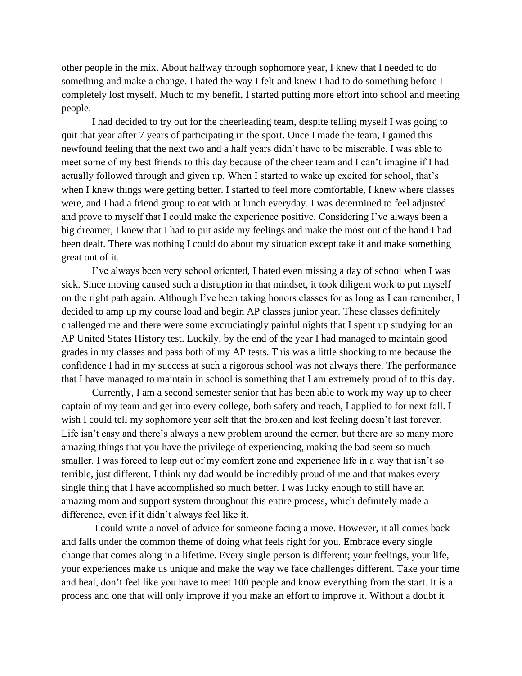other people in the mix. About halfway through sophomore year, I knew that I needed to do something and make a change. I hated the way I felt and knew I had to do something before I completely lost myself. Much to my benefit, I started putting more effort into school and meeting people.

I had decided to try out for the cheerleading team, despite telling myself I was going to quit that year after 7 years of participating in the sport. Once I made the team, I gained this newfound feeling that the next two and a half years didn't have to be miserable. I was able to meet some of my best friends to this day because of the cheer team and I can't imagine if I had actually followed through and given up. When I started to wake up excited for school, that's when I knew things were getting better. I started to feel more comfortable, I knew where classes were, and I had a friend group to eat with at lunch everyday. I was determined to feel adjusted and prove to myself that I could make the experience positive. Considering I've always been a big dreamer, I knew that I had to put aside my feelings and make the most out of the hand I had been dealt. There was nothing I could do about my situation except take it and make something great out of it.

I've always been very school oriented, I hated even missing a day of school when I was sick. Since moving caused such a disruption in that mindset, it took diligent work to put myself on the right path again. Although I've been taking honors classes for as long as I can remember, I decided to amp up my course load and begin AP classes junior year. These classes definitely challenged me and there were some excruciatingly painful nights that I spent up studying for an AP United States History test. Luckily, by the end of the year I had managed to maintain good grades in my classes and pass both of my AP tests. This was a little shocking to me because the confidence I had in my success at such a rigorous school was not always there. The performance that I have managed to maintain in school is something that I am extremely proud of to this day.

Currently, I am a second semester senior that has been able to work my way up to cheer captain of my team and get into every college, both safety and reach, I applied to for next fall. I wish I could tell my sophomore year self that the broken and lost feeling doesn't last forever. Life isn't easy and there's always a new problem around the corner, but there are so many more amazing things that you have the privilege of experiencing, making the bad seem so much smaller. I was forced to leap out of my comfort zone and experience life in a way that isn't so terrible, just different. I think my dad would be incredibly proud of me and that makes every single thing that I have accomplished so much better. I was lucky enough to still have an amazing mom and support system throughout this entire process, which definitely made a difference, even if it didn't always feel like it.

I could write a novel of advice for someone facing a move. However, it all comes back and falls under the common theme of doing what feels right for you. Embrace every single change that comes along in a lifetime. Every single person is different; your feelings, your life, your experiences make us unique and make the way we face challenges different. Take your time and heal, don't feel like you have to meet 100 people and know everything from the start. It is a process and one that will only improve if you make an effort to improve it. Without a doubt it